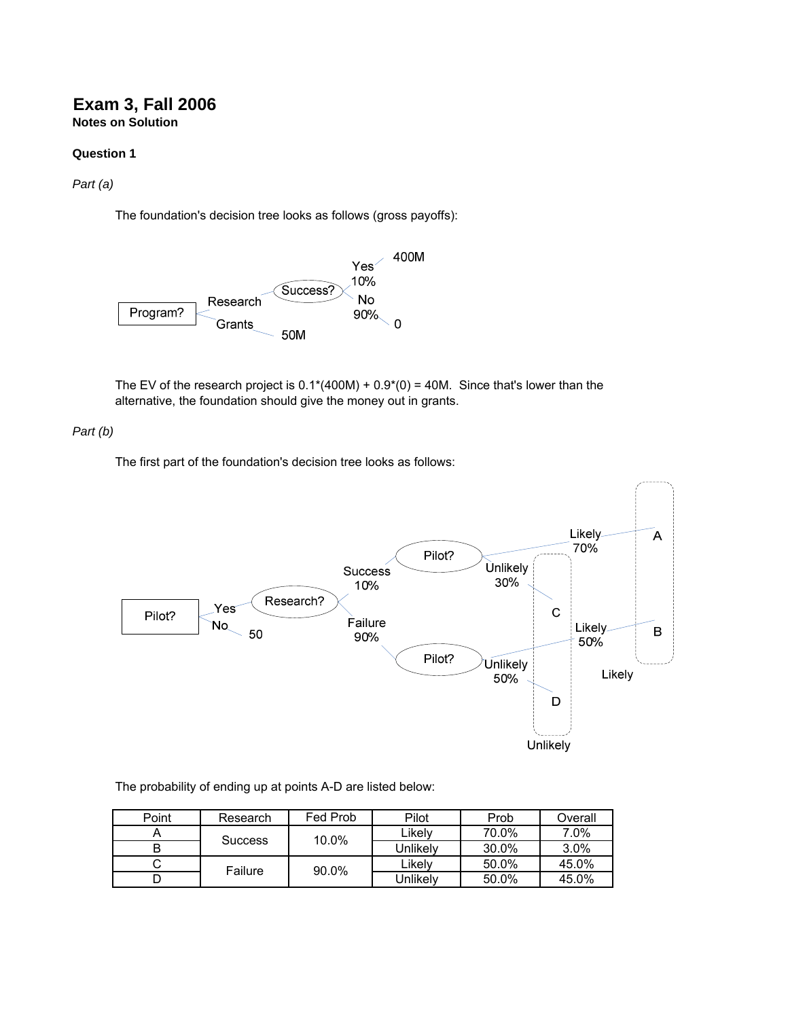# **Exam 3, Fall 2006 Notes on Solution**

### **Question 1**

*Part (a)*

The foundation's decision tree looks as follows (gross payoffs):



The EV of the research project is  $0.1*(400M) + 0.9*(0) = 40M$ . Since that's lower than the alternative, the foundation should give the money out in grants.

*Part (b)*

The first part of the foundation's decision tree looks as follows:



#### The probability of ending up at points A-D are listed below:

| Point | Research | Fed Prob                | Pilot    | Prob  | Overall |
|-------|----------|-------------------------|----------|-------|---------|
|       |          | 10.0%<br><b>Success</b> | Likelv   | 70.0% | 7.0%    |
| B     |          |                         | Unlikelv | 30.0% | $3.0\%$ |
| ັ     | Failure  | 90.0%                   | Likelv   | 50.0% | 45.0%   |
|       |          |                         | Jnlikelv | 50.0% | 45.0%   |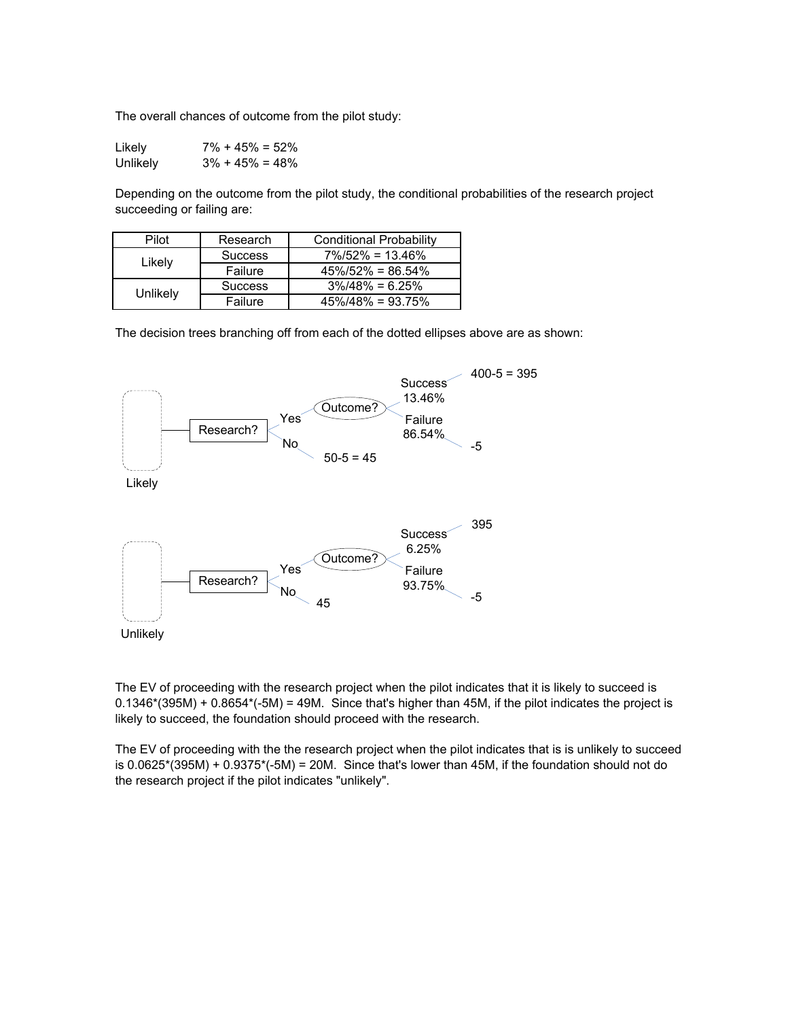The overall chances of outcome from the pilot study:

| Likely   | $7\% + 45\% = 52\%$ |
|----------|---------------------|
| Unlikely | $3\% + 45\% = 48\%$ |

Depending on the outcome from the pilot study, the conditional probabilities of the research project succeeding or failing are:

| Pilot    | Research       | <b>Conditional Probability</b> |  |
|----------|----------------|--------------------------------|--|
| Likely   | <b>Success</b> | $7\%/52\% = 13.46\%$           |  |
|          | Failure        | $45\%/52\% = 86.54\%$          |  |
| Unlikely | <b>Success</b> | $3\%/48\% = 6.25\%$            |  |
|          | Failure        | $45\%/48\% = 93.75\%$          |  |

The decision trees branching off from each of the dotted ellipses above are as shown:



The EV of proceeding with the research project when the pilot indicates that it is likely to succeed is  $0.1346*(395M) + 0.8654*(-5M) = 49M$ . Since that's higher than 45M, if the pilot indicates the project is likely to succeed, the foundation should proceed with the research.

The EV of proceeding with the the research project when the pilot indicates that is is unlikely to succeed is  $0.0625*(395M) + 0.9375*(-5M) = 20M$ . Since that's lower than 45M, if the foundation should not do the research project if the pilot indicates "unlikely".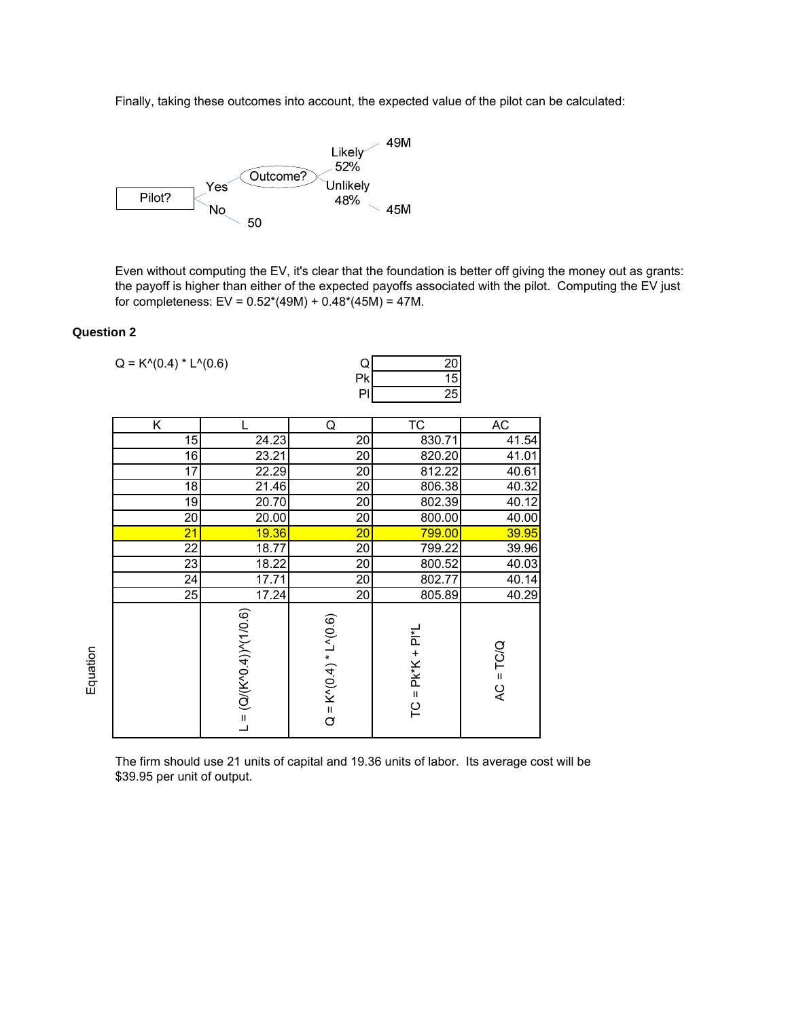Finally, taking these outcomes into account, the expected value of the pilot can be calculated:



Even without computing the EV, it's clear that the foundation is better off giving the money out as grants: the payoff is higher than either of the expected payoffs associated with the pilot. Computing the EV just for completeness:  $EV = 0.52*(49M) + 0.48*(45M) = 47M$ .

### **Question 2**

| $Q = K^{(0.4) * L^{(0.6)}$ |                              | Q                           | 20                     |             |
|----------------------------|------------------------------|-----------------------------|------------------------|-------------|
|                            |                              | Pk                          | $\overline{15}$        |             |
|                            |                              | PI                          | $\overline{25}$        |             |
| Κ                          |                              | Q                           | $\overline{\text{TC}}$ | AC          |
| 15                         | 24.23                        | 20                          | 830.71                 | 41.54       |
| $\overline{16}$            | 23.21                        | 20                          | 820.20                 | 41.01       |
| $\overline{17}$            | 22.29                        | 20                          | 812.22                 | 40.61       |
| $\overline{18}$            | 21.46                        | $\overline{20}$             | 806.38                 | 40.32       |
| $\overline{19}$            | 20.70                        | $\overline{20}$             | 802.39                 | 40.12       |
| $\overline{20}$            | 20.00                        | $\overline{20}$             | 800.00                 | 40.00       |
| $\overline{21}$            | 19.36                        | 20                          | 799.00                 | 39.95       |
| $\overline{22}$            | 18.77                        | $\overline{20}$             | 799.22                 | 39.96       |
| $\overline{23}$            | 18.22                        | $\overline{20}$             | 800.52                 | 40.03       |
| $\overline{24}$            | 17.71                        | $\overline{20}$             | 802.77                 | 40.14       |
| $\overline{25}$            | 17.24                        | $\overline{20}$             | 805.89                 | 40.29       |
|                            | $L = (Q/(K^0.4))^{N}(1/0.6)$ | $Q = K^{(0.4)} * L^{(0.6)}$ | $TC = PK*K + PI*L$     | $AC = TC/Q$ |

The firm should use 21 units of capital and 19.36 units of labor. Its average cost will be \$39.95 per unit of output.

Equation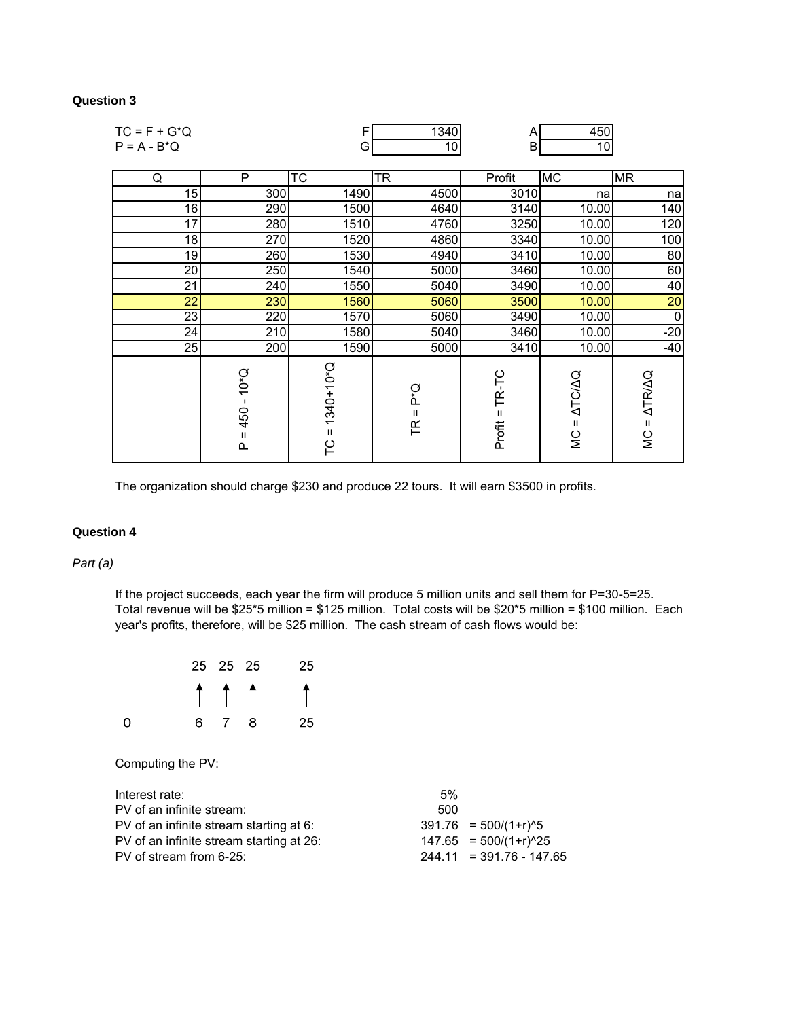## **Question 3**

| $TC = F + G^*Q$ |                                            | F                                       | 1340                         | A                    | 450                                               |                           |
|-----------------|--------------------------------------------|-----------------------------------------|------------------------------|----------------------|---------------------------------------------------|---------------------------|
| $P = A - B^*Q$  |                                            | G                                       | 10 <sub>1</sub>              | B                    | 10 <sub>1</sub>                                   |                           |
|                 |                                            |                                         |                              |                      |                                                   |                           |
| Q               | $\overline{P}$                             | $\overline{\text{TC}}$                  | <b>TR</b>                    | Profit               | <b>MC</b>                                         | <b>MR</b>                 |
| 15              | 300                                        | 1490                                    | 4500                         | 3010                 | na                                                | na                        |
| 16              | 290                                        | 1500                                    | 4640                         | 3140                 | 10.00                                             | 140                       |
| 17              | 280                                        | 1510                                    | 4760                         | 3250                 | 10.00                                             | 120                       |
| 18              | 270                                        | 1520                                    | 4860                         | 3340                 | 10.00                                             | 100                       |
| 19              | 260                                        | 1530                                    | 4940                         | 3410                 | 10.00                                             | 80                        |
| 20              | 250                                        | 1540                                    | 5000                         | 3460                 | 10.00                                             | 60                        |
| 21              | 240                                        | 1550                                    | 5040                         | 3490                 | 10.00                                             | 40                        |
| 22              | 230                                        | 1560                                    | 5060                         | 3500                 | 10.00                                             | 20                        |
| 23              | 220                                        | 1570                                    | 5060                         | 3490                 | 10.00                                             | $\mathbf 0$               |
| 24              | 210                                        | 1580                                    | 5040                         | 3460                 | 10.00                                             | $-20$                     |
| 25              | 200                                        | 1590                                    | 5000                         | 3410                 | 10.00                                             | $-40$                     |
|                 | $10*Q$<br>450<br>$\mathsf{II}$<br>$\Omega$ | $1340+10*Q$<br>$\mathbf H$<br><b>PC</b> | Ο.<br>Δ<br>Ш<br>$\mathsf{R}$ | TR-TC<br>Ш<br>Profit | <b>ATC/AQ</b><br>$\mathbf{H}$<br>$\sum_{i=1}^{n}$ | $MC = \Delta TR/\Delta Q$ |

The organization should charge \$230 and produce 22 tours. It will earn \$3500 in profits.

## **Question 4**

*Part (a)*

If the project succeeds, each year the firm will produce 5 million units and sell them for P=30-5=25. Total revenue will be \$25\*5 million = \$125 million. Total costs will be \$20\*5 million = \$100 million. Each year's profits, therefore, will be \$25 million. The cash stream of cash flows would be:



Computing the PV:

| $.5\%$ |                            |
|--------|----------------------------|
| 500    |                            |
|        | $391.76 = 500/(1+r)^5$     |
|        | $147.65 = 500/(1+r)^{25}$  |
|        | $244.11 = 391.76 - 147.65$ |
|        |                            |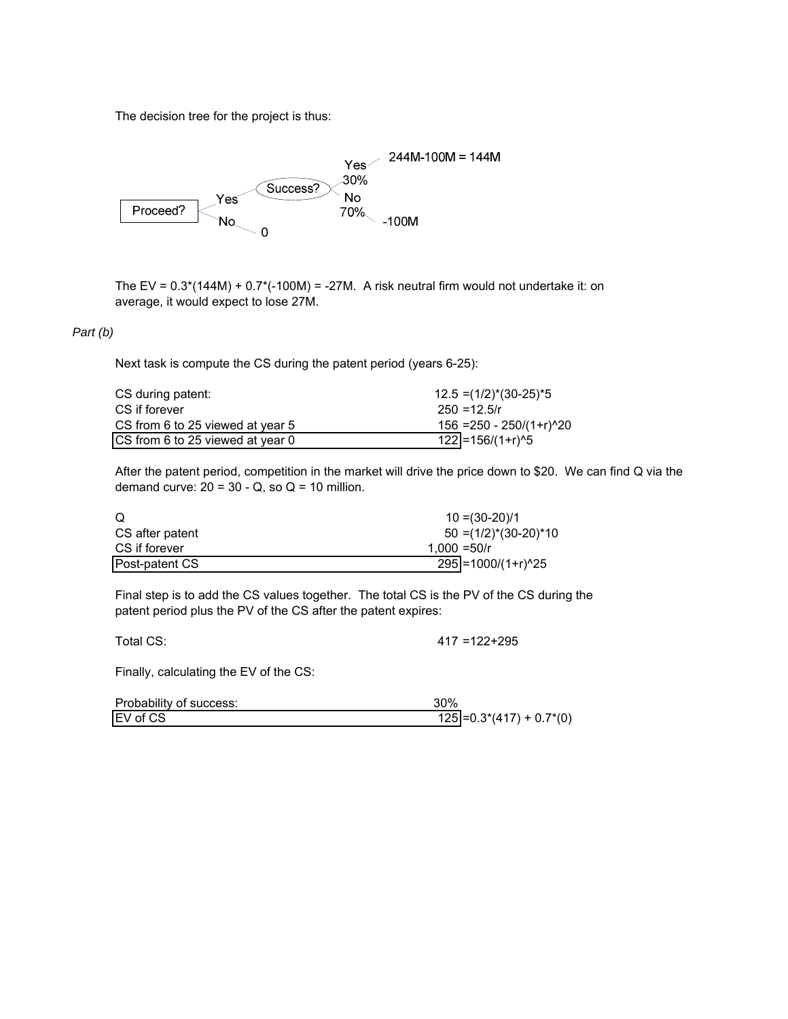The decision tree for the project is thus:



The EV =  $0.3*(144M) + 0.7*(-100M) = -27M$ . A risk neutral firm would not undertake it: on average, it would expect to lose 27M.

### *Part (b)*

Next task is compute the CS during the patent period (years 6-25):

| CS during patent:                | $12.5 = (1/2)^*(30-25)^*5$   |
|----------------------------------|------------------------------|
| CS if forever                    | $250 = 12.5/r$               |
| CS from 6 to 25 viewed at year 5 | $156 = 250 - 250/(1+r)^{20}$ |
| CS from 6 to 25 viewed at year 0 | $122$ = 156/(1+r)^5          |

After the patent period, competition in the market will drive the price down to \$20. We can find Q via the demand curve:  $20 = 30 - Q$ , so  $Q = 10$  million.

| O               | $10 = (30-20)/1$                  |
|-----------------|-----------------------------------|
| CS after patent | $50 = (1/2)^*(30-20)^*10$         |
| CS if forever   | 1.000 = $50/r$                    |
| Post-patent CS  | $295$ = 1000/(1+r) <sup>^25</sup> |

Final step is to add the CS values together. The total CS is the PV of the CS during the patent period plus the PV of the CS after the patent expires:

Total CS: 417 =122+295

Finally, calculating the EV of the CS:

| Probability of success: | 30%                         |
|-------------------------|-----------------------------|
| EV of CS                | $125$ = 0.3*(417) + 0.7*(0) |